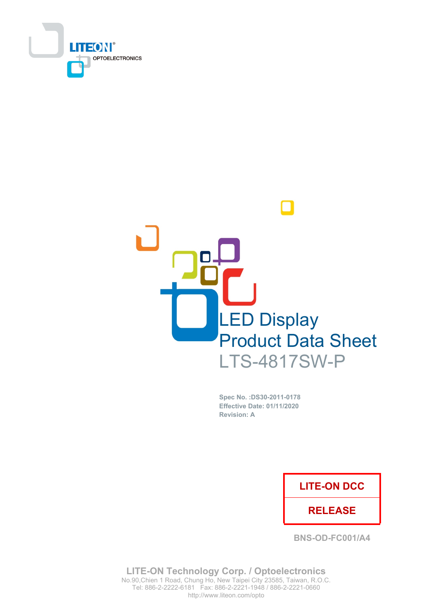



Spec No. : DS30-2011-0178 **Effective Date: 01/11/2020 Revision: A** 

### **LITE-ON DCC**

### **RELEASE**

**BNS-OD-FC001/A4** 

**LITE-ON Technology Corp. / Optoelectronics** No.90, Chien 1 Road, Chung Ho, New Taipei City 23585, Taiwan, R.O.C. Tel: 886-2-2222-6181 Fax: 886-2-2221-1948 / 886-2-2221-0660 http://www.liteon.com/opto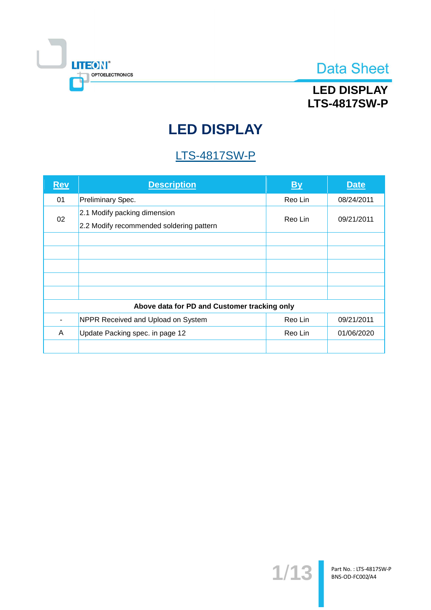

## **LED DISPLAY LTS-4817SW-P**

# **LED DISPLAY**

## **LTS-4817SW-P**

| <b>Rev</b> | <b>Description</b>                                                       | <b>By</b> | <b>Date</b> |
|------------|--------------------------------------------------------------------------|-----------|-------------|
| 01         | Preliminary Spec.                                                        | Reo Lin   | 08/24/2011  |
| 02         | 2.1 Modify packing dimension<br>2.2 Modify recommended soldering pattern | Reo Lin   | 09/21/2011  |
|            |                                                                          |           |             |
|            |                                                                          |           |             |
|            |                                                                          |           |             |
|            |                                                                          |           |             |
|            |                                                                          |           |             |
|            | Above data for PD and Customer tracking only                             |           |             |
|            | NPPR Received and Upload on System                                       | Reo Lin   | 09/21/2011  |
| A          | Update Packing spec. in page 12                                          | Reo Lin   | 01/06/2020  |
|            |                                                                          |           |             |

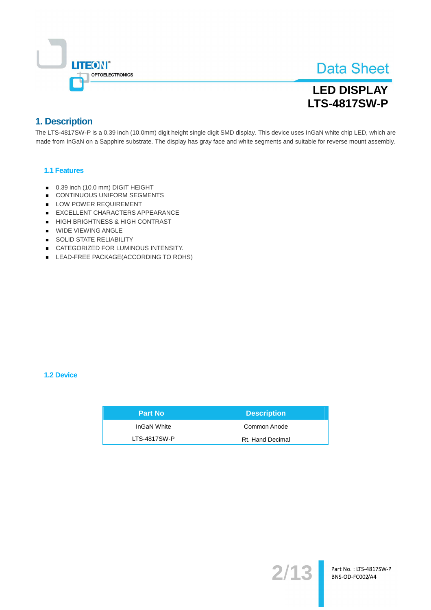

## **LED DISPLAY LTS-4817SW-P**

### 1. Description

The LTS-4817SW-P is a 0.39 inch (10.0mm) digit height single digit SMD display. This device uses InGaN white chip LED, which are made from InGaN on a Sapphire substrate. The display has gray face and white segments and suitable for reverse mount assembly.

#### 1.1 Features

- 0.39 inch (10.0 mm) DIGIT HEIGHT
- CONTINUOUS UNIFORM SEGMENTS
- LOW POWER REQUIREMENT
- EXCELLENT CHARACTERS APPEARANCE
- HIGH BRIGHTNESS & HIGH CONTRAST
- WIDE VIEWING ANGLE
- SOLID STATE RELIABILITY
- CATEGORIZED FOR LUMINOUS INTENSITY.
- LEAD-FREE PACKAGE(ACCORDING TO ROHS)

#### 1.2 Device

| <b>Part No</b> | <b>Description</b> |
|----------------|--------------------|
| InGaN White    | Common Anode       |
| LTS-4817SW-P   | Rt. Hand Decimal   |

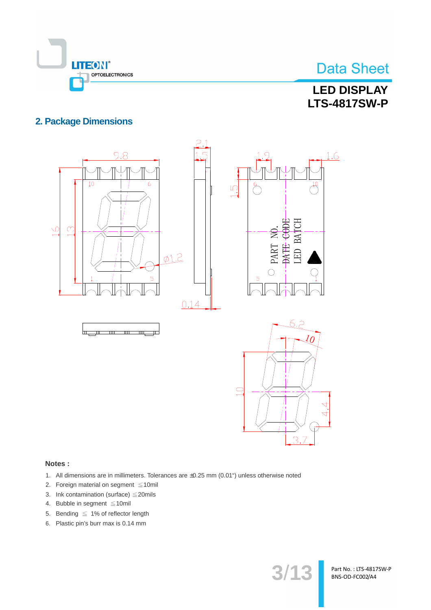

## **LED DISPLAY LTS-4817SW-P**

### **2. Package Dimensions**



#### Notes:

- 1. All dimensions are in millimeters. Tolerances are ±0.25 mm (0.01") unless otherwise noted
- 2. Foreign material on segment ≤10mil
- 3. Ink contamination (surface)  $\leq$  20mils
- 4. Bubble in segment  $\leq 10$ mil
- 5. Bending  $\leq 1\%$  of reflector length
- 6. Plastic pin's burr max is 0.14 mm

 $3/1$ 

Part No.: LTS-4817SW-P BNS-OD-FC002/A4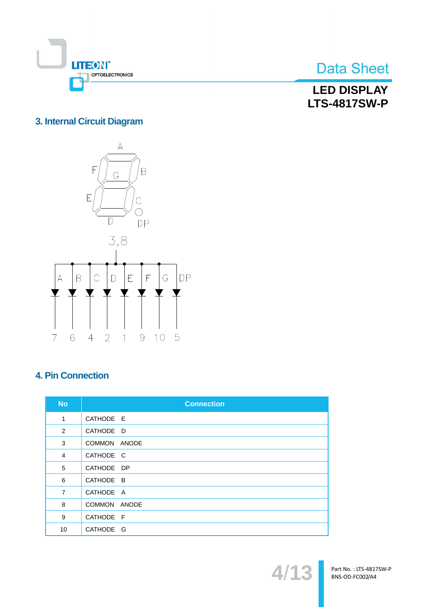

**LED DISPLAY LTS-4817SW-P** 

### 3. Internal Circuit Diagram



### **4. Pin Connection**

| <b>No</b>      | <b>Connection</b> |
|----------------|-------------------|
| $\mathbf{1}$   | CATHODE E         |
| 2              | CATHODE D         |
| 3              | COMMON ANODE      |
| $\overline{4}$ | CATHODE C         |
| 5              | CATHODE DP        |
| 6              | CATHODE B         |
| $\overline{7}$ | CATHODE A         |
| 8              | COMMON ANODE      |
| 9              | CATHODE F         |
| 10             | CATHODE G         |



Part No.: LTS-4817SW-P BNS-OD-FC002/A4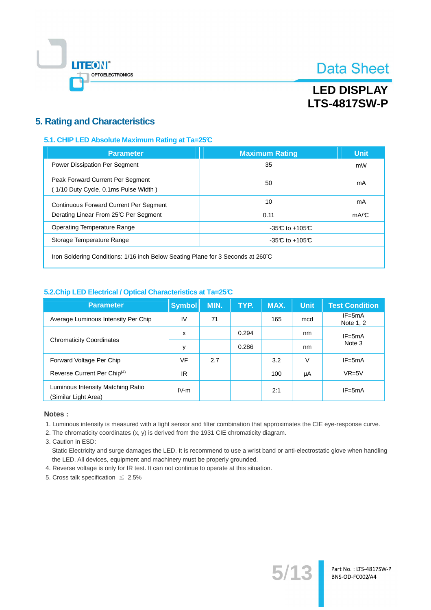

## **LED DISPLAY LTS-4817SW-P**

### **5. Rating and Characteristics**

#### 5.1. CHIP LED Absolute Maximum Rating at Ta=25°C

| <b>Parameter</b>                                                                       | <b>Maximum Rating</b> | <b>Unit</b> |
|----------------------------------------------------------------------------------------|-----------------------|-------------|
| Power Dissipation Per Segment                                                          | 35                    | mW          |
| Peak Forward Current Per Segment<br>(1/10 Duty Cycle, 0.1ms Pulse Width)               | 50                    | mA          |
| <b>Continuous Forward Current Per Segment</b><br>Derating Linear From 25°C Per Segment | 10<br>0.11            | mA<br>mA/C  |
| <b>Operating Temperature Range</b>                                                     | -35 $C$ to +105 $C$   |             |
| Storage Temperature Range                                                              | -35 $C$ to +105 $C$   |             |
|                                                                                        |                       |             |

Iron Soldering Conditions: 1/16 inch Below Seating Plane for 3 Seconds at 260°C

#### 5.2. Chip LED Electrical / Optical Characteristics at Ta=25°C

| <b>Parameter</b>                                          | <b>Symbol</b> | MIN. | TYP.  | MAX. | <b>Unit</b> | <b>Test Condition</b>   |
|-----------------------------------------------------------|---------------|------|-------|------|-------------|-------------------------|
| Average Luminous Intensity Per Chip                       | IV            | 71   |       | 165  | mcd         | $IF = 5mA$<br>Note 1, 2 |
|                                                           | X             |      | 0.294 |      | nm          | $IF = 5mA$<br>Note 3    |
| <b>Chromaticity Coordinates</b>                           | y             |      | 0.286 |      | nm          |                         |
| Forward Voltage Per Chip                                  | VF            | 2.7  |       | 3.2  | V           | $IF = 5mA$              |
| Reverse Current Per Chip <sup>(4)</sup>                   | IR            |      |       | 100  | μA          | $VR=5V$                 |
| Luminous Intensity Matching Ratio<br>(Similar Light Area) | $IV-m$        |      |       | 2:1  |             | $IF = 5mA$              |

#### Notes:

1. Luminous intensity is measured with a light sensor and filter combination that approximates the CIE eye-response curve.

2. The chromaticity coordinates (x, y) is derived from the 1931 CIE chromaticity diagram.

3. Caution in ESD:

Static Electricity and surge damages the LED. It is recommend to use a wrist band or anti-electrostatic glove when handling the LED. All devices, equipment and machinery must be properly grounded.

4. Reverse voltage is only for IR test. It can not continue to operate at this situation.

5. Cross talk specification  $\leq 2.5\%$ 

 $5/1$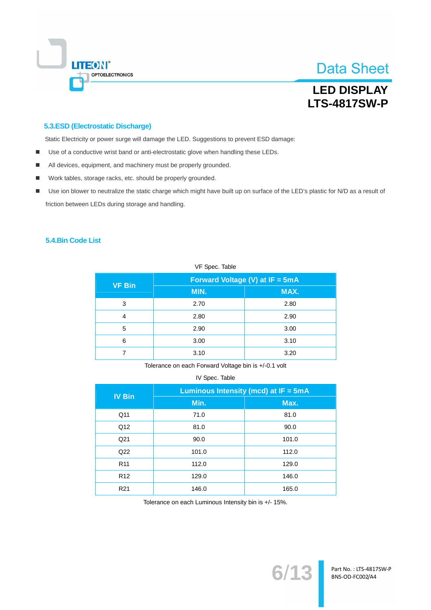

## **LED DISPLAY LTS-4817SW-P**

#### 5.3.ESD (Electrostatic Discharge)

Static Electricity or power surge will damage the LED. Suggestions to prevent ESD damage:

- Use of a conductive wrist band or anti-electrostatic glove when handling these LEDs.  $\blacksquare$
- All devices, equipment, and machinery must be properly grounded.
- Work tables, storage racks, etc. should be properly grounded.  $\blacksquare$
- Use ion blower to neutralize the static charge which might have built up on surface of the LED's plastic for N/D as a result of  $\blacksquare$ friction between LEDs during storage and handling.

#### 5.4.Bin Code List

#### VF Spec. Table

| <b>VF Bin</b> | Forward Voltage (V) at IF = 5mA |      |  |  |
|---------------|---------------------------------|------|--|--|
|               | MIN.                            | MAX. |  |  |
| 3             | 2.70                            | 2.80 |  |  |
| 4             | 2.80                            | 2.90 |  |  |
| 5             | 2.90                            | 3.00 |  |  |
| 6             | 3.00                            | 3.10 |  |  |
|               | 3.10                            | 3.20 |  |  |

Tolerance on each Forward Voltage bin is +/-0.1 volt

#### IV Spec. Table

| <b>IV Bin</b>   | Luminous Intensity (mcd) at $IF = 5mA$ |       |  |  |
|-----------------|----------------------------------------|-------|--|--|
|                 | Min.                                   | Max.  |  |  |
| Q11             | 71.0                                   | 81.0  |  |  |
| Q12             | 81.0                                   | 90.0  |  |  |
| Q <sub>21</sub> | 90.0                                   | 101.0 |  |  |
| Q22             | 101.0                                  | 112.0 |  |  |
| R <sub>11</sub> | 112.0                                  | 129.0 |  |  |
| R <sub>12</sub> | 129.0                                  | 146.0 |  |  |
| R <sub>21</sub> | 146.0                                  | 165.0 |  |  |

Tolerance on each Luminous Intensity bin is +/- 15%.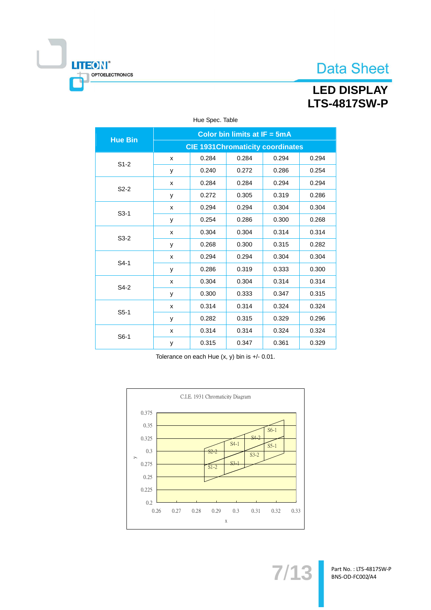**LED DISPLAY LTS-4817SW-P** 

| <b>Hue Bin</b> | Color bin limits at $IF = 5mA$           |       |       |       |       |  |  |
|----------------|------------------------------------------|-------|-------|-------|-------|--|--|
|                | <b>CIE 1931 Chromaticity coordinates</b> |       |       |       |       |  |  |
| $S1-2$         | x                                        | 0.284 | 0.284 | 0.294 | 0.294 |  |  |
|                | у                                        | 0.240 | 0.272 | 0.286 | 0.254 |  |  |
| $S2-2$         | X                                        | 0.284 | 0.284 | 0.294 | 0.294 |  |  |
|                | у                                        | 0.272 | 0.305 | 0.319 | 0.286 |  |  |
| $S3-1$         | x                                        | 0.294 | 0.294 | 0.304 | 0.304 |  |  |
|                | У                                        | 0.254 | 0.286 | 0.300 | 0.268 |  |  |
|                | x                                        | 0.304 | 0.304 | 0.314 | 0.314 |  |  |
| $S3-2$         | у                                        | 0.268 | 0.300 | 0.315 | 0.282 |  |  |
| $S4-1$         | x                                        | 0.294 | 0.294 | 0.304 | 0.304 |  |  |
|                | у                                        | 0.286 | 0.319 | 0.333 | 0.300 |  |  |
| S4-2           | x                                        | 0.304 | 0.304 | 0.314 | 0.314 |  |  |
|                | у                                        | 0.300 | 0.333 | 0.347 | 0.315 |  |  |
| $S5-1$         | x                                        | 0.314 | 0.314 | 0.324 | 0.324 |  |  |
|                | у                                        | 0.282 | 0.315 | 0.329 | 0.296 |  |  |
|                | x                                        | 0.314 | 0.314 | 0.324 | 0.324 |  |  |
| $S6-1$         | у                                        | 0.315 | 0.347 | 0.361 | 0.329 |  |  |

#### Hue Spec. Table

Ï

LITEON®

OPTOELECTRONICS

Tolerance on each Hue  $(x, y)$  bin is  $+/$ - 0.01.



Part No.: LTS-4817SW-P BNS-OD-FC002/A4

 $7/13$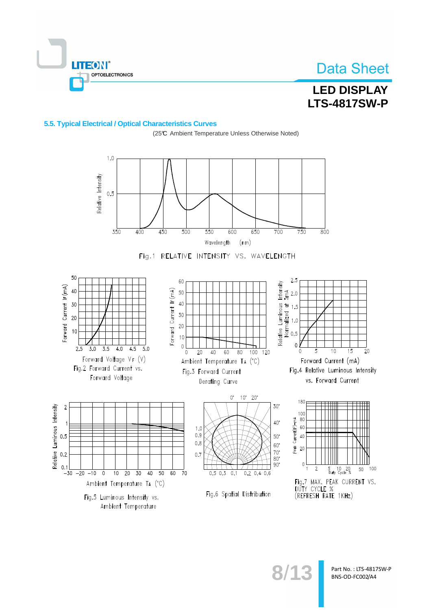

## **LED DISPLAY LTS-4817SW-P**

#### 5.5. Typical Electrical / Optical Characteristics Curves

(25℃ Ambient Temperature Unless Otherwise Noted)  $1.0$ Relative Intensity  $0.5$ 700 350 400 450  $\overline{500}$ 550 600 650 750  $\overline{800}$ Wavelength  $(nm)$ Fig.1 RELATIVE INTENSITY VS. WAVELENGTH 50 Relative Luminous Intensity<br>Normalized at 5mA<br>o 3.<br>o 3.<br>o  $2.5$ 60 Forward Current IF(mA) 40 Forward Current IF(mA) 50 40 30 30 20 20  $10$  $10$  $\Omega$  $\overline{3.5}$  $\overline{4.0}$  $\overline{4.5}$  $\overline{5.0}$  $\overline{3.0}$  $2.5$  $\overline{20}$  $\overline{40}$  $\overline{60}$  $\overline{80}$  $\frac{1}{100}$  120 5  $10$ 15 20  $\overline{0}$ Forward Voltage VF (V) Forward Current (mA) Ambient Temperature TA (°C) Fig.2 Forward Current vs. Fig.4 Relative Luminous Intensity Fig.3 Forward Current Forward Voltage vs. Forward Current Derating Curve  $10^{\circ}$  20 $^{\circ}$  $^{\circ}$  $180<sub>F</sub>$  $30^{\circ}$ Relative Luminous Intensity  $\overline{2}$  $10<sub>c</sub>$  $Current(P)-mA$  $80$ 40 60  $1.0$  $0.9$  $0.5$  $50^{\circ}$ 40  $0.8$  $60^\circ$ Peak ( 20  $70^{\circ}$ <br> $80^{\circ}$ <br> $90^{\circ}$  $0.2$  $0.7$  $\mathbf 0$  $0.1$ 50 100  $\sqrt{2}$ 5 10 20<br>Duty Cycle %  $\overline{50}$  $\overline{60}$  $-20 - 10$  $\overline{20}$  $\overline{30}$  $40$  $\overline{7}0$  $\overline{0.1}$  $-30$  $\overline{0}$  $10$  $0.5$  $0.3$  $0.2$  0.4 0.6 Fig.7 MAX. PEAK CURRENT VS.<br>DUTY CYCLE %<br>(REFRESH RATE 1KHz) Ambient Temperature TA (°C) Fig.6 Spatial Distribution Fig.5 Luminous Intensity vs. Ambient Temperature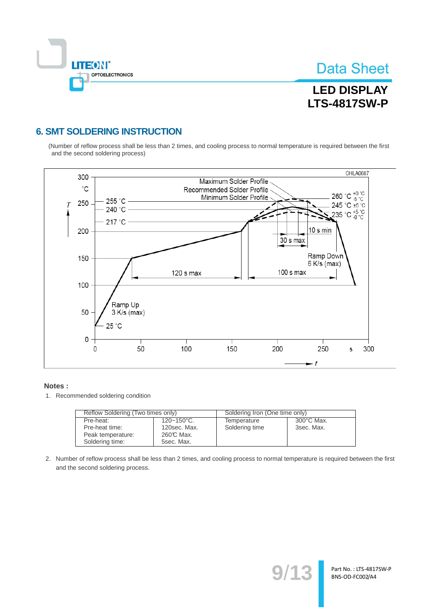

## **LED DISPLAY LTS-4817SW-P**

Part No.: LTS-4817SW-P BNS-OD-FC002/A4

### **6. SMT SOLDERING INSTRUCTION**

(Number of reflow process shall be less than 2 times, and cooling process to normal temperature is required between the first and the second soldering process)



#### Notes:

1. Recommended soldering condition

| Reflow Soldering (Two times only) |                 | Soldering Iron (One time only) |                      |  |
|-----------------------------------|-----------------|--------------------------------|----------------------|--|
|                                   |                 |                                |                      |  |
| Pre-heat:                         | $120 - 150$ °C. | Temperature                    | $300^{\circ}$ C Max. |  |
| Pre-heat time:                    | 120sec. Max.    | Soldering time                 | 3sec. Max.           |  |
| Peak temperature:                 | 260℃ Max.       |                                |                      |  |
| Soldering time:                   | 5sec. Max.      |                                |                      |  |

2. Number of reflow process shall be less than 2 times, and cooling process to normal temperature is required between the first and the second soldering process.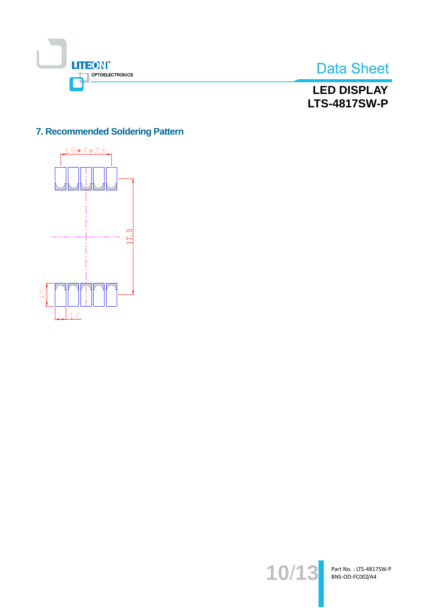

### **LED DISPLAY LTS-4817SW-P**

### 7. Recommended Soldering Pattern





Part No.: LTS-4817SW-P<br>BNS-OD-FC002/A4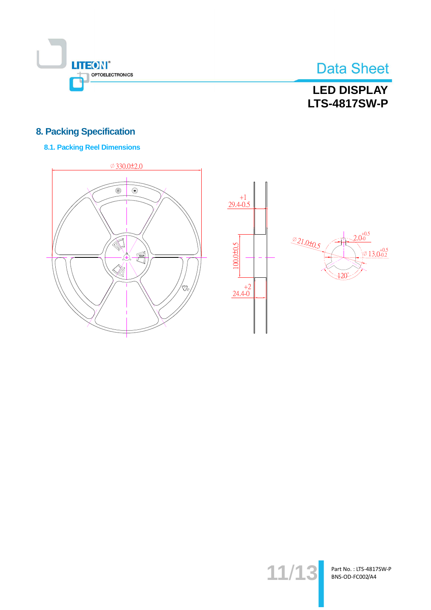

## **LED DISPLAY LTS-4817SW-P**

### **8. Packing Specification**

### **8.1. Packing Reel Dimensions**







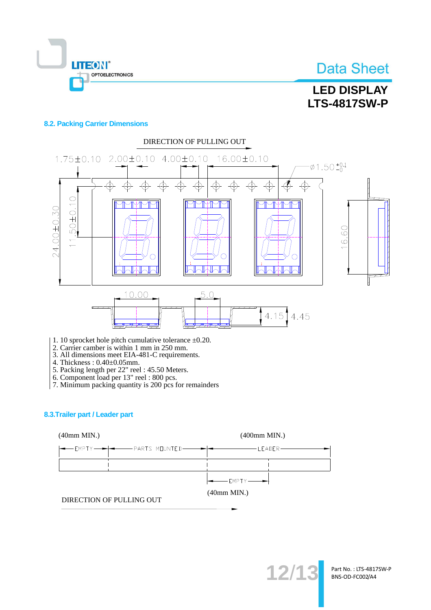

## **LED DISPLAY LTS-4817SW-P**

#### **8.2. Packing Carrier Dimensions**



- 1. 10 sprocket hole pitch cumulative tolerance  $\pm 0.20$ .
- 2. Carrier camber is within 1 mm in 250 mm.<br>3. All dimensions meet EIA-481-C requirements.
- 
- 
- 
- 
- 4. Thickness :  $0.40\pm0.05$ mm.<br>
5. Packing length per 22" reel : 45.50 Meters.<br>
6. Component load per 13" reel : 800 pcs.<br>
7. Minimum packing quantity is 200 pcs for remainders

#### 8.3. Trailer part / Leader part





 $12$